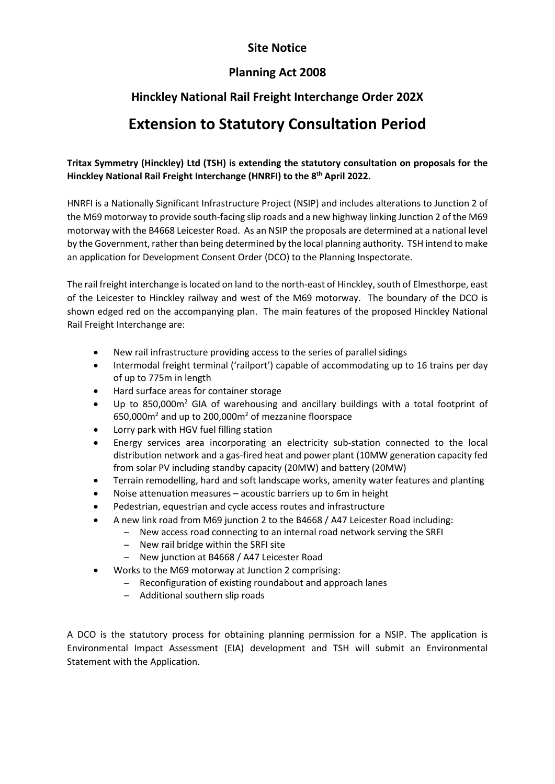## **Site Notice**

## **Planning Act 2008**

## **Hinckley National Rail Freight Interchange Order 202X**

# **Extension to Statutory Consultation Period**

#### **Tritax Symmetry (Hinckley) Ltd (TSH) is extending the statutory consultation on proposals for the Hinckley National Rail Freight Interchange (HNRFI) to the 8th April 2022.**

HNRFI is a Nationally Significant Infrastructure Project (NSIP) and includes alterations to Junction 2 of the M69 motorway to provide south-facing slip roads and a new highway linking Junction 2 of the M69 motorway with the B4668 Leicester Road. As an NSIP the proposals are determined at a national level by the Government, rather than being determined by the local planning authority. TSH intend to make an application for Development Consent Order (DCO) to the Planning Inspectorate.

The rail freight interchange is located on land to the north-east of Hinckley, south of Elmesthorpe, east of the Leicester to Hinckley railway and west of the M69 motorway. The boundary of the DCO is shown edged red on the accompanying plan. The main features of the proposed Hinckley National Rail Freight Interchange are:

- New rail infrastructure providing access to the series of parallel sidings
- Intermodal freight terminal ('railport') capable of accommodating up to 16 trains per day of up to 775m in length
- Hard surface areas for container storage
- Up to 850,000m<sup>2</sup> GIA of warehousing and ancillary buildings with a total footprint of 650,000m2 and up to 200,000m2 of mezzanine floorspace
- Lorry park with HGV fuel filling station
- Energy services area incorporating an electricity sub-station connected to the local distribution network and a gas-fired heat and power plant (10MW generation capacity fed from solar PV including standby capacity (20MW) and battery (20MW)
- Terrain remodelling, hard and soft landscape works, amenity water features and planting
- Noise attenuation measures acoustic barriers up to 6m in height
- Pedestrian, equestrian and cycle access routes and infrastructure
	- A new link road from M69 junction 2 to the B4668 / A47 Leicester Road including:
		- ̶ New access road connecting to an internal road network serving the SRFI
		- ̶ New rail bridge within the SRFI site
		- ̶ New junction at B4668 / A47 Leicester Road
- Works to the M69 motorway at Junction 2 comprising:
	- ̶ Reconfiguration of existing roundabout and approach lanes
		- ̶ Additional southern slip roads

A DCO is the statutory process for obtaining planning permission for a NSIP. The application is Environmental Impact Assessment (EIA) development and TSH will submit an Environmental Statement with the Application.